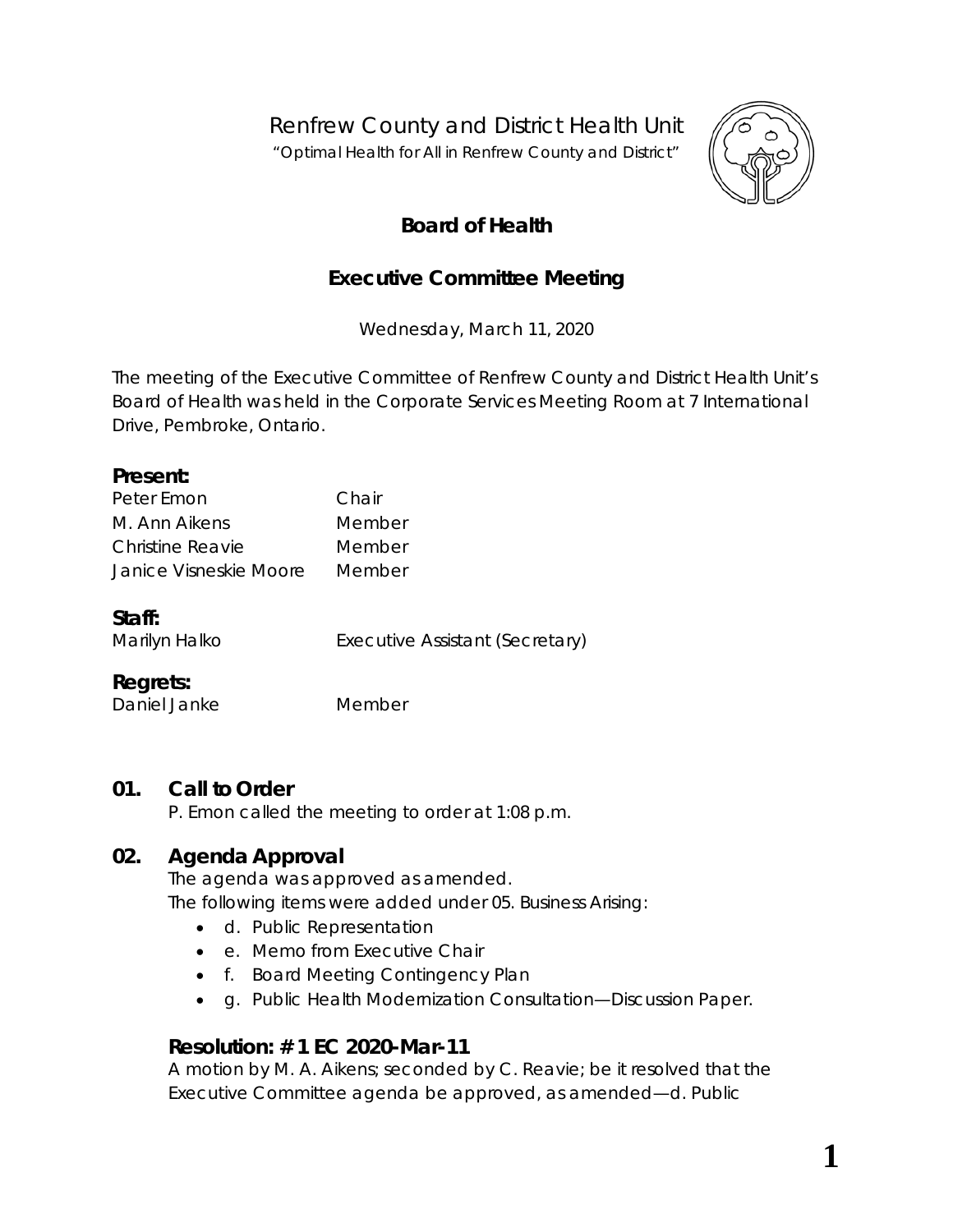Renfrew County and District Health Unit

*"Optimal Health for All in Renfrew County and District"*



# **Board of Health**

# **Executive Committee Meeting**

Wednesday, March 11, 2020

The meeting of the Executive Committee of Renfrew County and District Health Unit's Board of Health was held in the Corporate Services Meeting Room at 7 International Drive, Pembroke, Ontario.

#### **Present:**

| Peter Emon             | Chair  |
|------------------------|--------|
| M. Ann Aikens          | Member |
| Christine Reavie       | Member |
| Janice Visneskie Moore | Member |

#### **Staff:**

Marilyn Halko **Executive Assistant (Secretary)** 

#### **Regrets:**

Daniel Janke Member

# **01. Call to Order**

P. Emon called the meeting to order at 1:08 p.m.

# **02. Agenda Approval**

The agenda was approved as amended. The following items were added under 05. Business Arising:

- d. Public Representation
- e. Memo from Executive Chair
- f. Board Meeting Contingency Plan
- g. Public Health Modernization Consultation—Discussion Paper.

#### **Resolution: # 1 EC 2020-Mar-11**

A motion by M. A. Aikens; seconded by C. Reavie; be it resolved that the Executive Committee agenda be approved, as amended—d. Public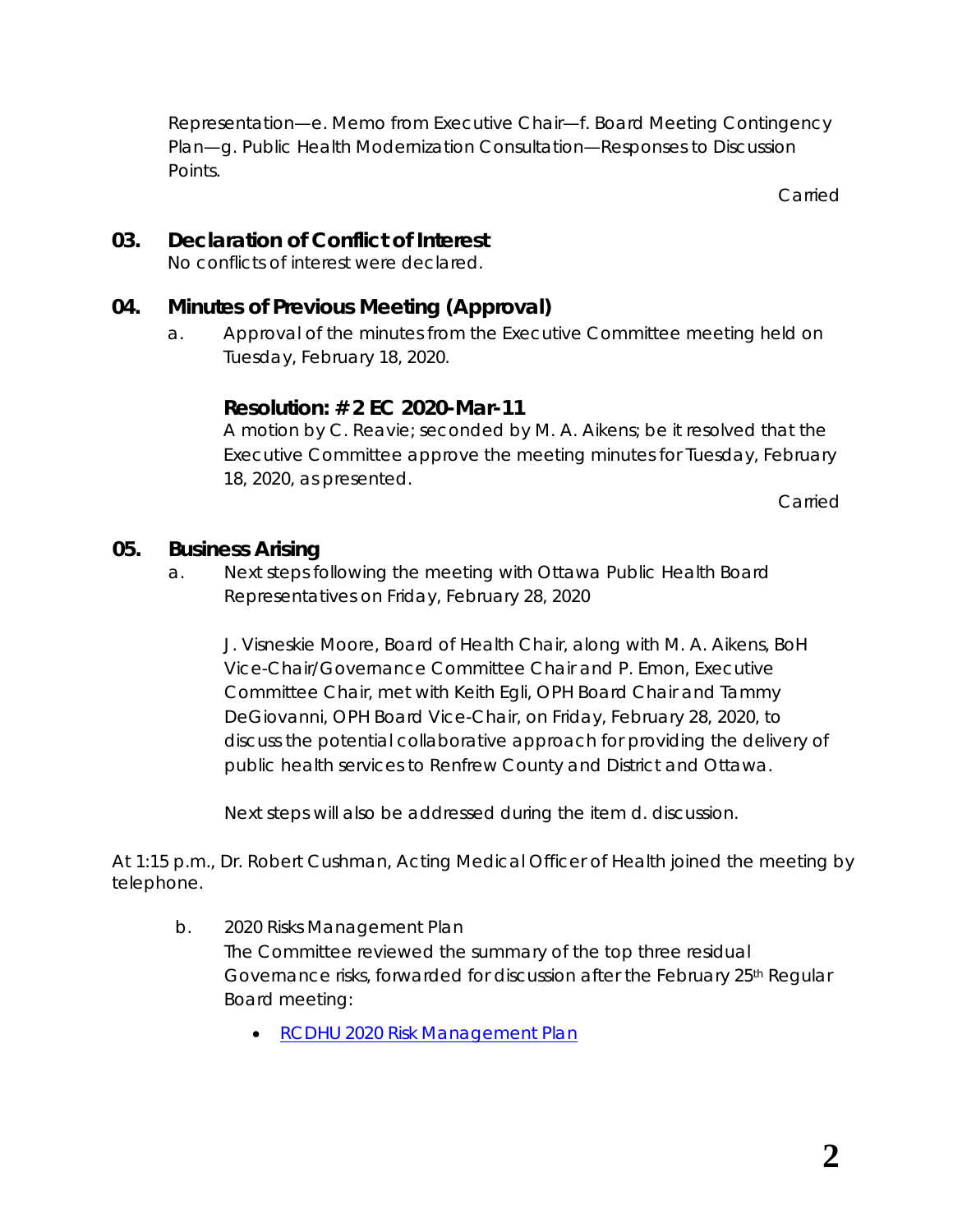Representation—e. Memo from Executive Chair—f. Board Meeting Contingency Plan—g. Public Health Modernization Consultation—Responses to Discussion Points.

Carried

# **03. Declaration of Conflict of Interest**

No conflicts of interest were declared.

### **04. Minutes of Previous Meeting (Approval)**

a. Approval of the minutes from the Executive Committee meeting held on Tuesday, February 18, 2020.

### **Resolution: # 2 EC 2020-Mar-11**

A motion by C. Reavie; seconded by M. A. Aikens; be it resolved that the Executive Committee approve the meeting minutes for Tuesday, February 18, 2020, as presented.

Carried

#### **05. Business Arising**

a. Next steps following the meeting with Ottawa Public Health Board Representatives on Friday, February 28, 2020

J. Visneskie Moore, Board of Health Chair, along with M. A. Aikens, BoH Vice-Chair/Governance Committee Chair and P. Emon, Executive Committee Chair, met with Keith Egli, OPH Board Chair and Tammy DeGiovanni, OPH Board Vice-Chair, on Friday, February 28, 2020, to discuss the potential collaborative approach for providing the delivery of public health services to Renfrew County and District and Ottawa.

Next steps will also be addressed during the item d. discussion.

At 1:15 p.m., Dr. Robert Cushman, Acting Medical Officer of Health joined the meeting by telephone.

- b. 2020 Risks Management Plan The Committee reviewed the summary of the top three residual Governance risks, forwarded for discussion after the February 25th Regular Board meeting:
	- RCDHU 2020 Risk [Management Plan](http://portal.rcdhu.com/board/wp-content/uploads/2020/03/2020-Risk-Management-Plan.pdf)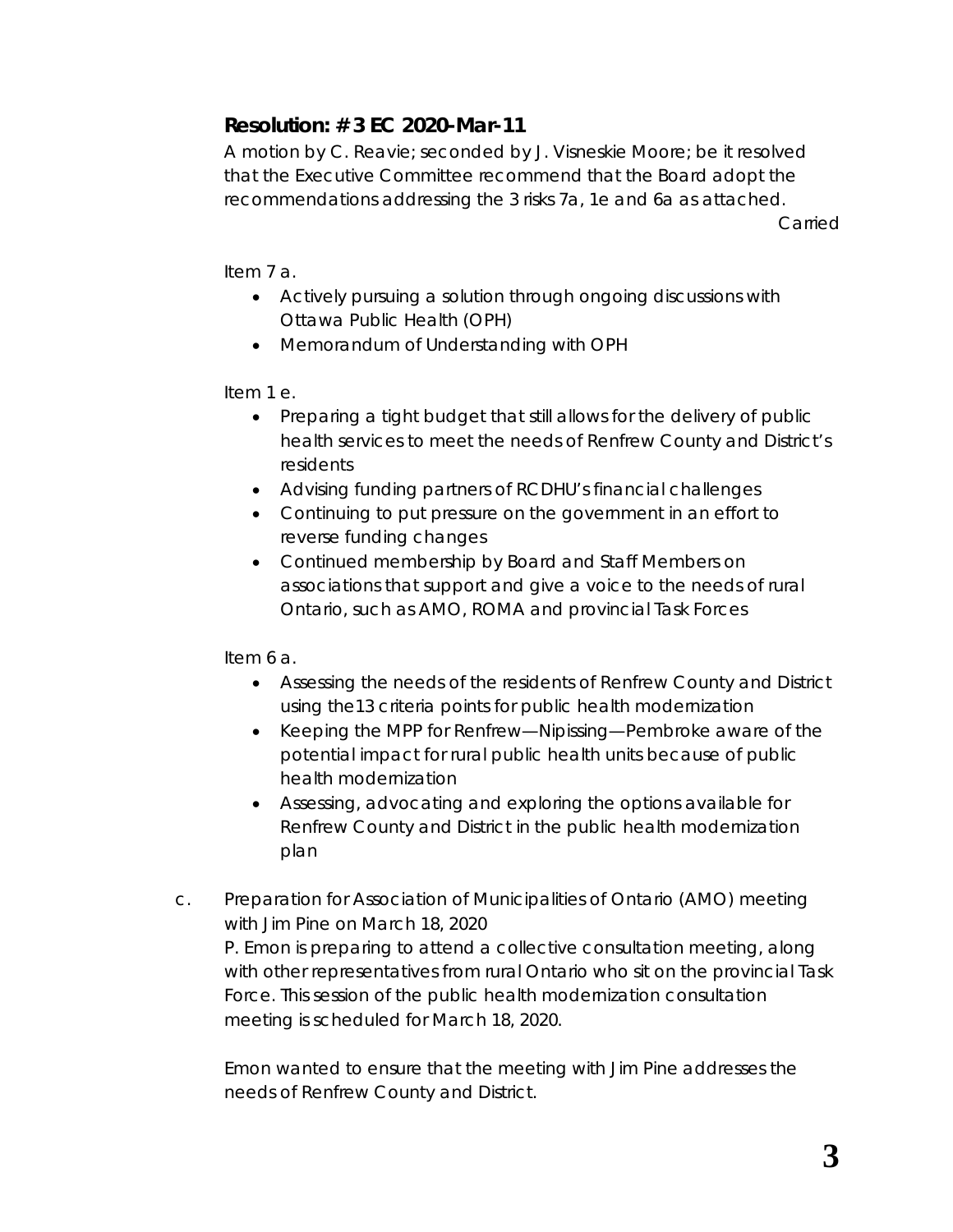# **Resolution: # 3 EC 2020-Mar-11**

A motion by C. Reavie; seconded by J. Visneskie Moore; be it resolved that the Executive Committee recommend that the Board adopt the recommendations addressing the 3 risks 7a, 1e and 6a as attached.

Carried

Item 7 a.

- Actively pursuing a solution through ongoing discussions with Ottawa Public Health (OPH)
- Memorandum of Understanding with OPH

Item 1 e.

- Preparing a tight budget that still allows for the delivery of public health services to meet the needs of Renfrew County and District's residents
- Advising funding partners of RCDHU's financial challenges
- Continuing to put pressure on the government in an effort to reverse funding changes
- Continued membership by Board and Staff Members on associations that support and give a voice to the needs of rural Ontario, such as AMO, ROMA and provincial Task Forces

Item 6 a.

- Assessing the needs of the residents of Renfrew County and District using the13 criteria points for public health modernization
- Keeping the MPP for Renfrew—Nipissing—Pembroke aware of the potential impact for rural public health units because of public health modernization
- Assessing, advocating and exploring the options available for Renfrew County and District in the public health modernization plan
- c. Preparation for Association of Municipalities of Ontario (AMO) meeting with Jim Pine on March 18, 2020 P. Emon is preparing to attend a collective consultation meeting, along with other representatives from rural Ontario who sit on the provincial Task Force. This session of the public health modernization consultation meeting is scheduled for March 18, 2020.

Emon wanted to ensure that the meeting with Jim Pine addresses the needs of Renfrew County and District.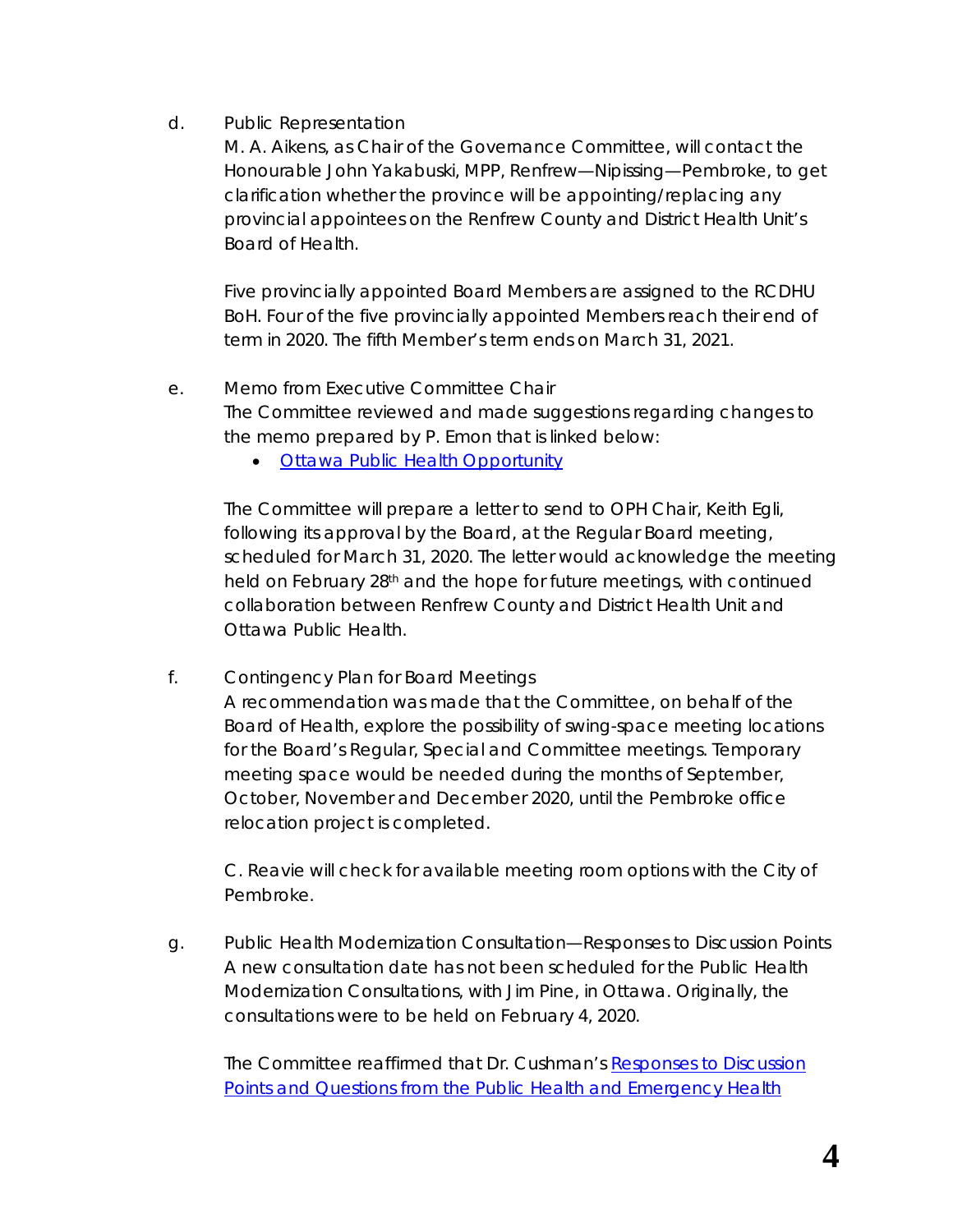d. Public Representation

M. A. Aikens, as Chair of the Governance Committee, will contact the Honourable John Yakabuski, MPP, Renfrew—Nipissing—Pembroke, to get clarification whether the province will be appointing/replacing any provincial appointees on the Renfrew County and District Health Unit's Board of Health.

Five provincially appointed Board Members are assigned to the RCDHU BoH. Four of the five provincially appointed Members reach their end of term in 2020. The fifth Member's term ends on March 31, 2021.

- e. Memo from Executive Committee Chair The Committee reviewed and made suggestions regarding changes to the memo prepared by P. Emon that is linked below:
	- [Ottawa Public Health Opportunity](http://portal.rcdhu.com/board/wp-content/uploads/2020/03/05.-a.-Memo-OPH-Mar-11-2020-1.pdf)

The Committee will prepare a letter to send to OPH Chair, Keith Egli, following its approval by the Board, at the Regular Board meeting, scheduled for March 31, 2020. The letter would acknowledge the meeting held on February 28<sup>th</sup> and the hope for future meetings, with continued collaboration between Renfrew County and District Health Unit and Ottawa Public Health.

f. Contingency Plan for Board Meetings

A recommendation was made that the Committee, on behalf of the Board of Health, explore the possibility of swing-space meeting locations for the Board's Regular, Special and Committee meetings. Temporary meeting space would be needed during the months of September, October, November and December 2020, until the Pembroke office relocation project is completed.

C. Reavie will check for available meeting room options with the City of Pembroke.

g. Public Health Modernization Consultation—Responses to Discussion Points A new consultation date has not been scheduled for the Public Health Modernization Consultations, with Jim Pine, in Ottawa. Originally, the consultations were to be held on February 4, 2020.

The Committee reaffirmed that Dr. Cushman's *[Responses to Discussion](http://portal.rcdhu.com/board/wp-content/uploads/2020/01/RCDHU-Responses-to-Discussion-Points-and-Questions-from-the-Public-Health-and-Emergency-Health-Services-Modernization-Presentations-2020-Jan-23.pdf) [Points and Questions from the Public Health and Emergency Health](http://portal.rcdhu.com/board/wp-content/uploads/2020/01/RCDHU-Responses-to-Discussion-Points-and-Questions-from-the-Public-Health-and-Emergency-Health-Services-Modernization-Presentations-2020-Jan-23.pdf)*